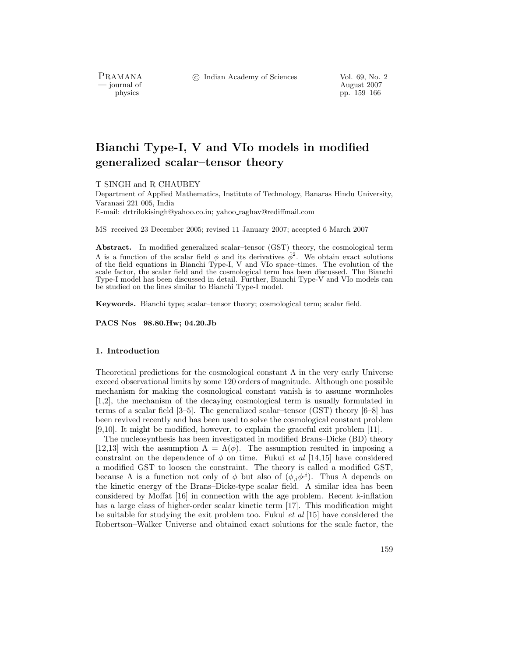PRAMANA<br>— journal of

c Indian Academy of Sciences Vol. 69, No. 2

August 2007 physics pp. 159–166

# **Bianchi Type-I, V and VIo models in modified generalized scalar–tensor theory**

T SINGH and R CHAUBEY

Department of Applied Mathematics, Institute of Technology, Banaras Hindu University, Varanasi 221 005, India

E-mail: drtrilokisingh@yahoo.co.in; yahoo raghav@rediffmail.com

MS received 23 December 2005; revised 11 January 2007; accepted 6 March 2007

**Abstract.** In modified generalized scalar–tensor (GST) theory, the cosmological term  $Λ$  is a function of the scalar field φ and its derivatives  $\dot{\phi}^2$ . We obtain exact solutions of the field equations in Bianchi Type-I, V and VIo space–times. The evolution of the scale factor, the scalar field and the cosmological term has been discussed. The Bianchi Type-I model has been discussed in detail. Further, Bianchi Type-V and VIo models can be studied on the lines similar to Bianchi Type-I model.

**Keywords.** Bianchi type; scalar–tensor theory; cosmological term; scalar field.

**PACS Nos 98.80.Hw; 04.20.Jb**

## **1. Introduction**

Theoretical predictions for the cosmological constant  $\Lambda$  in the very early Universe exceed observational limits by some 120 orders of magnitude. Although one possible mechanism for making the cosmological constant vanish is to assume wormholes [1,2], the mechanism of the decaying cosmological term is usually formulated in terms of a scalar field [3–5]. The generalized scalar–tensor (GST) theory [6–8] has been revived recently and has been used to solve the cosmological constant problem [9,10]. It might be modified, however, to explain the graceful exit problem [11].

The nucleosynthesis has been investigated in modified Brans–Dicke (BD) theory [12,13] with the assumption  $\Lambda = \Lambda(\phi)$ . The assumption resulted in imposing a constraint on the dependence of  $\phi$  on time. Fukui *et al* [14,15] have considered a modified GST to loosen the constraint. The theory is called a modified GST, because  $\Lambda$  is a function not only of  $\phi$  but also of  $(\phi_{,i}\phi^{i})$ . Thus  $\Lambda$  depends on the kinetic energy of the Brans–Dicke-type scalar field. A similar idea has been considered by Moffat [16] in connection with the age problem. Recent k-inflation has a large class of higher-order scalar kinetic term [17]. This modification might be suitable for studying the exit problem too. Fukui *et al* [15] have considered the Robertson–Walker Universe and obtained exact solutions for the scale factor, the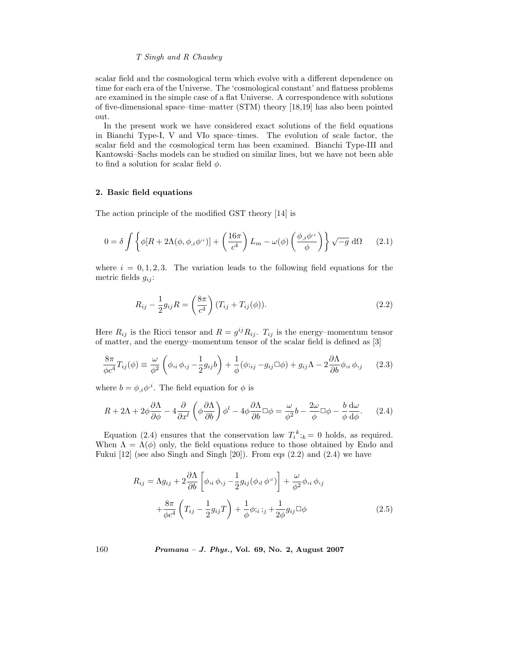scalar field and the cosmological term which evolve with a different dependence on time for each era of the Universe. The 'cosmological constant' and flatness problems are examined in the simple case of a flat Universe. A correspondence with solutions of five-dimensional space–time–matter (STM) theory [18,19] has also been pointed out.

In the present work we have considered exact solutions of the field equations in Bianchi Type-I, V and VIo space–times. The evolution of scale factor, the scalar field and the cosmological term has been examined. Bianchi Type-III and Kantowski–Sachs models can be studied on similar lines, but we have not been able to find a solution for scalar field  $\phi$ .

## **2. Basic field equations**

The action principle of the modified GST theory [14] is

$$
0 = \delta \int \left\{ \phi[R + 2\Lambda(\phi, \phi_{,i}\phi^{,i})] + \left(\frac{16\pi}{c^4}\right)L_m - \omega(\phi)\left(\frac{\phi_{,i}\phi^{,i}}{\phi}\right)\right\} \sqrt{-g} \, d\Omega \qquad (2.1)
$$

where  $i = 0, 1, 2, 3$ . The variation leads to the following field equations for the metric fields  $g_{ij}$ :

$$
R_{ij} - \frac{1}{2} g_{ij} R = \left(\frac{8\pi}{c^4}\right) (T_{ij} + T_{ij}(\phi)).
$$
\n(2.2)

Here  $R_{ij}$  is the Ricci tensor and  $R = g^{ij} R_{ij}$ .  $T_{ij}$  is the energy–momentum tensor of matter, and the energy–momentum tensor of the scalar field is defined as [3]

$$
\frac{8\pi}{\phi c^4} T_{ij}(\phi) \equiv \frac{\omega}{\phi^2} \left( \phi_{,i} \phi_{,j} - \frac{1}{2} g_{ij} b \right) + \frac{1}{\phi} (\phi_{;ij} - g_{ij} \Box \phi) + g_{ij} \Lambda - 2 \frac{\partial \Lambda}{\partial b} \phi_{,i} \phi_{,j} \tag{2.3}
$$

where  $b = \phi_{i} \phi^{i}$ . The field equation for  $\phi$  is

$$
R + 2\Lambda + 2\phi \frac{\partial \Lambda}{\partial \phi} - 4 \frac{\partial}{\partial x^l} \left( \phi \frac{\partial \Lambda}{\partial b} \right) \phi^l - 4\phi \frac{\partial \Lambda}{\partial b} \Box \phi = \frac{\omega}{\phi^2} b - \frac{2\omega}{\phi} \Box \phi - \frac{b}{\phi} \frac{d\omega}{d\phi}.
$$
 (2.4)

Equation (2.4) ensures that the conservation law  $T_i^k$ ; $k = 0$  holds, as required.<br>hen  $\Lambda = \Lambda(\phi)$  only the field equations reduce to those obtained by Endo and When  $\Lambda = \Lambda(\phi)$  only, the field equations reduce to those obtained by Endo and Fukui [12] (see also Singh and Singh [20]). From eqs (2.2) and (2.4) we have

$$
R_{ij} = \Lambda g_{ij} + 2 \frac{\partial \Lambda}{\partial b} \left[ \phi_{,i} \phi_{,j} - \frac{1}{2} g_{ij} (\phi_{,l} \phi^{,l}) \right] + \frac{\omega}{\phi^2} \phi_{,i} \phi_{,j} + \frac{8\pi}{\phi c^4} \left( T_{ij} - \frac{1}{2} g_{ij} T \right) + \frac{1}{\phi} \phi_{,i} \, j_j + \frac{1}{2\phi} g_{ij} \Box \phi
$$
 (2.5)

160 *Pramana – J. Phys.,* **Vol. 69, No. 2, August 2007**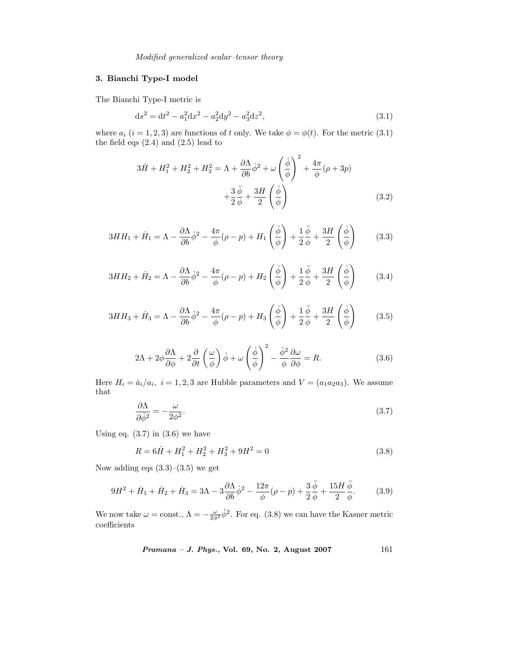*Modified generalized scalar–tensor theory*

# **3. Bianchi Type-I model**

The Bianchi Type-I metric is

$$
ds^2 = dt^2 - a_1^2 dx^2 - a_2^2 dy^2 - a_3^2 dz^2,
$$
\n(3.1)

where  $a_i$  ( $i = 1, 2, 3$ ) are functions of t only. We take  $\phi = \phi(t)$ . For the metric (3.1) the field eqs  $(2.4)$  and  $(2.5)$  lead to

$$
3\dot{H} + H_1^2 + H_2^2 + H_3^2 = \Lambda + \frac{\partial \Lambda}{\partial b} \dot{\phi}^2 + \omega \left(\frac{\dot{\phi}}{\phi}\right)^2 + \frac{4\pi}{\phi} (\rho + 3p)
$$

$$
+ \frac{3}{2} \frac{\ddot{\phi}}{\phi} + \frac{3H}{2} \left(\frac{\dot{\phi}}{\phi}\right)
$$
(3.2)

$$
3HH_1 + \dot{H}_1 = \Lambda - \frac{\partial \Lambda}{\partial b} \dot{\phi}^2 - \frac{4\pi}{\phi} (\rho - p) + H_1 \left(\frac{\dot{\phi}}{\phi}\right) + \frac{1}{2} \frac{\ddot{\phi}}{\phi} + \frac{3H}{2} \left(\frac{\dot{\phi}}{\phi}\right) \tag{3.3}
$$

$$
3HH_2 + \dot{H}_2 = \Lambda - \frac{\partial \Lambda}{\partial b} \dot{\phi}^2 - \frac{4\pi}{\phi} (\rho - p) + H_2 \left(\frac{\dot{\phi}}{\phi}\right) + \frac{1}{2} \frac{\ddot{\phi}}{\phi} + \frac{3H}{2} \left(\frac{\dot{\phi}}{\phi}\right) \tag{3.4}
$$

$$
3HH_3 + \dot{H}_3 = \Lambda - \frac{\partial \Lambda}{\partial b} \dot{\phi}^2 - \frac{4\pi}{\phi} (\rho - p) + H_3 \left(\frac{\dot{\phi}}{\phi}\right) + \frac{1}{2} \frac{\ddot{\phi}}{\phi} + \frac{3H}{2} \left(\frac{\dot{\phi}}{\phi}\right) \tag{3.5}
$$

$$
2\Lambda + 2\phi \frac{\partial \Lambda}{\partial \phi} + 2\frac{\partial}{\partial t} \left(\frac{\omega}{\phi}\right) \dot{\phi} + \omega \left(\frac{\dot{\phi}}{\phi}\right)^2 - \frac{\dot{\phi}^2}{\phi} \frac{\partial \omega}{\partial \phi} = R.
$$
 (3.6)

Here  $H_i = \dot{a}_i/a_i$ ,  $i = 1, 2, 3$  are Hubble parameters and  $V = (a_1a_2a_3)$ . We assume that

$$
\frac{\partial \Lambda}{\partial \dot{\phi}^2} = -\frac{\omega}{2\phi^2}.\tag{3.7}
$$

Using eq.  $(3.7)$  in  $(3.6)$  we have

$$
R = 6\dot{H} + H_1^2 + H_2^2 + H_3^2 + 9H^2 = 0
$$
\n(3.8)

Now adding eqs  $(3.3)$ – $(3.5)$  we get

$$
9H^2 + \dot{H}_1 + \dot{H}_2 + \dot{H}_3 = 3\Lambda - 3\frac{\partial \Lambda}{\partial b}\dot{\phi}^2 - \frac{12\pi}{\phi}(\rho - p) + \frac{3}{2}\frac{\ddot{\phi}}{\phi} + \frac{15H}{2}\frac{\ddot{\phi}}{\phi}.
$$
 (3.9)

We now take  $\omega = \text{const.}$ ,  $\Lambda = -\frac{\omega}{2\phi^2} \dot{\phi}^2$ . For eq. (3.8) we can have the Kasner metric coefficients

*Pramana – J. Phys.,* **Vol. 69, No. 2, August 2007** 161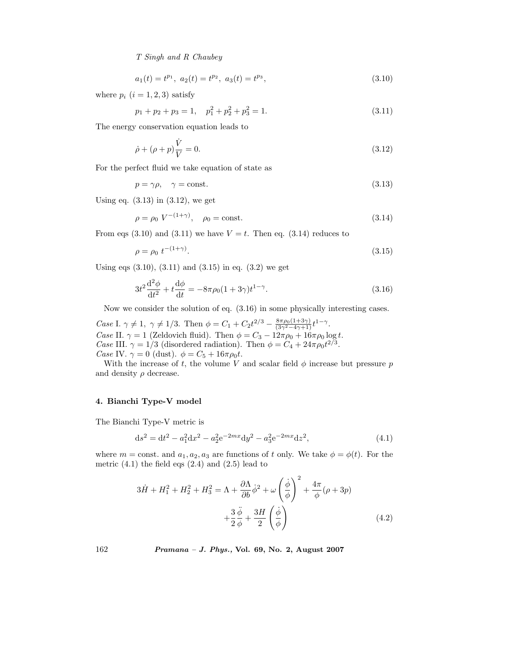$$
a_1(t) = t^{p_1}, \ a_2(t) = t^{p_2}, \ a_3(t) = t^{p_3}, \tag{3.10}
$$

where  $p_i$   $(i = 1, 2, 3)$  satisfy

$$
p_1 + p_2 + p_3 = 1, \quad p_1^2 + p_2^2 + p_3^2 = 1.
$$
\n(3.11)

The energy conservation equation leads to

$$
\dot{\rho} + (\rho + p)\frac{\dot{V}}{V} = 0.
$$
\n(3.12)

For the perfect fluid we take equation of state as

$$
p = \gamma \rho, \quad \gamma = \text{const.} \tag{3.13}
$$

Using eq. (3.13) in (3.12), we get

$$
\rho = \rho_0 \ V^{-(1+\gamma)}, \quad \rho_0 = \text{const.}
$$
\n(3.14)

From eqs (3.10) and (3.11) we have  $V = t$ . Then eq. (3.14) reduces to

$$
\rho = \rho_0 \ t^{-(1+\gamma)}.\tag{3.15}
$$

Using eqs  $(3.10), (3.11)$  and  $(3.15)$  in eq.  $(3.2)$  we get

$$
3t^{2}\frac{d^{2}\phi}{dt^{2}} + t\frac{d\phi}{dt} = -8\pi\rho_{0}(1+3\gamma)t^{1-\gamma}.
$$
 (3.16)

Now we consider the solution of eq. (3.16) in some physically interesting cases.

*Case* I.  $\gamma \neq 1$ ,  $\gamma \neq 1/3$ . Then  $\phi = C_1 + C_2 t^{2/3} - \frac{8\pi \rho_0 (1+3\gamma)}{(3\gamma^2-4\gamma+1)} t^{1-\gamma}$ . *Case* II.  $\gamma = 1$  (Zeldovich fluid). Then  $\phi = C_3 - 12\pi\rho_0 + 16\pi\rho_0 \log t$ .<br>*Case* III  $\gamma = 1/3$  (disordered radiation). Then  $\phi = C_4 + 24\pi\rho_0 t^{2/3}$ . *Case* III.  $\gamma = 1/3$  (disordered radiation). Then  $\phi = C_4 + 24\pi \rho_0 t^{2/3}$ .<br>*Case* IV  $\gamma = 0$  (dust)  $\phi = C_4 + 16\pi \rho_0 t$ *Case* IV.  $\gamma = 0$  (dust).  $\phi = C_5 + 16\pi \rho_0 t$ .

With the increase of t, the volume V and scalar field  $\phi$  increase but pressure p and density  $\rho$  decrease.

## **4. Bianchi Type-V model**

The Bianchi Type-V metric is

$$
ds^{2} = dt^{2} - a_{1}^{2}dx^{2} - a_{2}^{2}e^{-2mx}dy^{2} - a_{3}^{2}e^{-2mx}dz^{2},
$$
\n(4.1)

where  $m = \text{const.}$  and  $a_1, a_2, a_3$  are functions of t only. We take  $\phi = \phi(t)$ . For the metric  $(4.1)$  the field eqs  $(2.4)$  and  $(2.5)$  lead to

$$
3\dot{H} + H_1^2 + H_2^2 + H_3^2 = \Lambda + \frac{\partial \Lambda}{\partial b} \dot{\phi}^2 + \omega \left(\frac{\dot{\phi}}{\phi}\right)^2 + \frac{4\pi}{\phi} (\rho + 3p)
$$

$$
+ \frac{3}{2} \frac{\ddot{\phi}}{\phi} + \frac{3H}{2} \left(\frac{\dot{\phi}}{\phi}\right)
$$
(4.2)

162 *Pramana – J. Phys.,* **Vol. 69, No. 2, August 2007**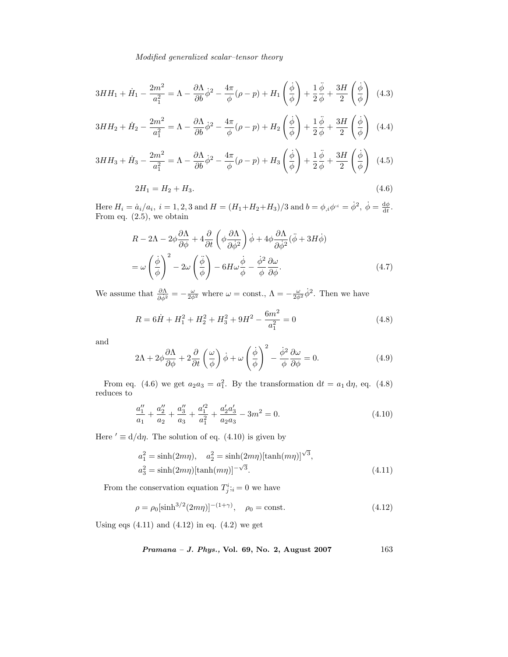#### *Modified generalized scalar–tensor theory*

$$
3HH_1 + \dot{H}_1 - \frac{2m^2}{a_1^2} = \Lambda - \frac{\partial \Lambda}{\partial b} \dot{\phi}^2 - \frac{4\pi}{\phi} (\rho - p) + H_1 \left(\frac{\dot{\phi}}{\phi}\right) + \frac{1}{2} \frac{\ddot{\phi}}{\phi} + \frac{3H}{2} \left(\frac{\dot{\phi}}{\phi}\right)
$$
(4.3)

$$
3HH_2 + \dot{H}_2 - \frac{2m^2}{a_1^2} = \Lambda - \frac{\partial \Lambda}{\partial b} \dot{\phi}^2 - \frac{4\pi}{\phi} (\rho - p) + H_2 \left(\frac{\dot{\phi}}{\phi}\right) + \frac{1}{2} \frac{\ddot{\phi}}{\phi} + \frac{3H}{2} \left(\frac{\dot{\phi}}{\phi}\right)
$$
(4.4)

$$
3HH_3 + \dot{H}_3 - \frac{2m^2}{a_1^2} = \Lambda - \frac{\partial \Lambda}{\partial b} \dot{\phi}^2 - \frac{4\pi}{\phi} (\rho - p) + H_3 \left(\frac{\dot{\phi}}{\phi}\right) + \frac{1}{2} \frac{\ddot{\phi}}{\phi} + \frac{3H}{2} \left(\frac{\dot{\phi}}{\phi}\right)
$$
(4.5)

$$
2H_1 = H_2 + H_3. \tag{4.6}
$$

Here  $H_i = \dot{a}_i/a_i$ ,  $i = 1, 2, 3$  and  $H = (H_1 + H_2 + H_3)/3$  and  $b = \phi_{i,i}\phi^{i} = \dot{\phi}^2$ ,  $\dot{\phi} = \frac{d\phi}{dt}$ .<br>From eq. (2.5), we obtain From eq. (2.5), we obtain

$$
R - 2\Lambda - 2\phi \frac{\partial \Lambda}{\partial \phi} + 4 \frac{\partial}{\partial t} \left( \phi \frac{\partial \Lambda}{\partial \dot{\phi}^2} \right) \dot{\phi} + 4\phi \frac{\partial \Lambda}{\partial \dot{\phi}^2} (\ddot{\phi} + 3H\dot{\phi})
$$

$$
= \omega \left( \frac{\dot{\phi}}{\phi} \right)^2 - 2\omega \left( \frac{\ddot{\phi}}{\phi} \right) - 6H\omega \frac{\dot{\phi}}{\phi} - \frac{\dot{\phi}^2}{\phi} \frac{\partial \omega}{\partial \phi}.
$$
(4.7)

We assume that  $\frac{\partial \Lambda}{\partial \dot{\phi}^2} = -\frac{\omega}{2\dot{\phi}^2}$  where  $\omega = \text{const.}$ ,  $\Lambda = -\frac{\omega}{2\dot{\phi}^2} \dot{\phi}^2$ . Then we have

$$
R = 6\dot{H} + H_1^2 + H_2^2 + H_3^2 + 9H^2 - \frac{6m^2}{a_1^2} = 0
$$
\n(4.8)

and

$$
2\Lambda + 2\phi \frac{\partial \Lambda}{\partial \phi} + 2\frac{\partial}{\partial t} \left(\frac{\omega}{\phi}\right) \dot{\phi} + \omega \left(\frac{\dot{\phi}}{\phi}\right)^2 - \frac{\dot{\phi}^2}{\phi} \frac{\partial \omega}{\partial \phi} = 0.
$$
 (4.9)

From eq. (4.6) we get  $a_2a_3 = a_1^2$ . By the transformation  $dt = a_1 d\eta$ , eq. (4.8) reduces to

$$
\frac{a_1''}{a_1} + \frac{a_2''}{a_2} + \frac{a_3''}{a_3} + \frac{a_1'^2}{a_1^2} + \frac{a_2'a_3'}{a_2a_3} - 3m^2 = 0.
$$
\n(4.10)

Here  $' \equiv d/d\eta$ . The solution of eq. (4.10) is given by

$$
a_1^2 = \sinh(2m\eta), \quad a_2^2 = \sinh(2m\eta) [\tanh(m\eta)]^{\sqrt{3}},
$$
  
\n
$$
a_3^2 = \sinh(2m\eta) [\tanh(m\eta)]^{-\sqrt{3}}.
$$
\n(4.11)

From the conservation equation  $T^i_j$ ;  $= 0$  we have

$$
\rho = \rho_0 [\sinh^{3/2}(2m\eta)]^{-(1+\gamma)}, \quad \rho_0 = \text{const.}
$$
\n(4.12)

Using eqs  $(4.11)$  and  $(4.12)$  in eq.  $(4.2)$  we get

*Pramana – J. Phys.*, Vol. 69, No. 2, August 
$$
2007
$$
 163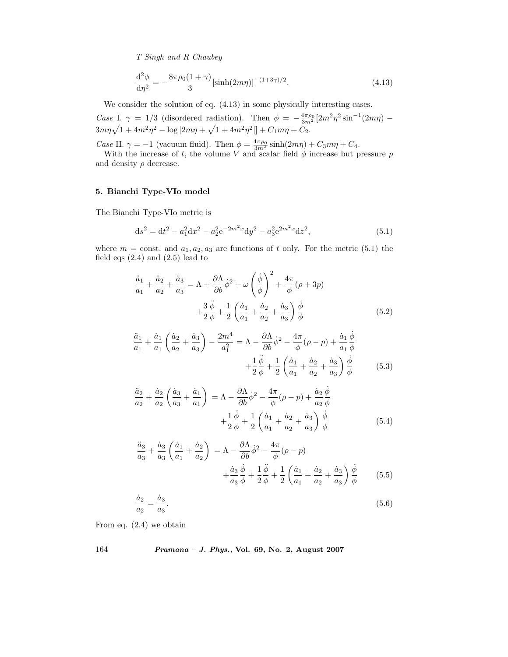$$
\frac{\mathrm{d}^2 \phi}{\mathrm{d}\eta^2} = -\frac{8\pi\rho_0(1+\gamma)}{3} \left[ \sinh(2m\eta) \right]^{-(1+3\gamma)/2}.
$$
 (4.13)

We consider the solution of eq. (4.13) in some physically interesting cases.

*Case* I.  $\gamma = 1/3$  (disordered radiation). Then  $\phi = -\frac{4\pi\rho_0}{3m^2} [2m^2\eta^2 \sin^{-1}(2m\eta) - 2m\eta (1 + 4m^2\omega^2)]$  $3m\eta\sqrt{1+4m^2\eta^2} - \log|2m\eta + \sqrt{1+4m^2\eta^2}| + C_1m\eta + C_2.$ 

*Case* II.  $\gamma = -1$  (vacuum fluid). Then  $\phi = \frac{4\pi\rho_0}{3m^2} \sinh(2m\eta) + C_3m\eta + C_4$ .<br>With the increase of t the volume *V* and scalar field  $\phi$  increase but not

With the increase of t, the volume V and scalar field  $\phi$  increase but pressure p d density a decrease and density  $\rho$  decrease.

# **5. Bianchi Type-VIo model**

The Bianchi Type-VIo metric is

$$
ds^{2} = dt^{2} - a_{1}^{2}dx^{2} - a_{2}^{2}e^{-2m^{2}x}dy^{2} - a_{3}^{2}e^{2m^{2}x}dz^{2},
$$
\n(5.1)

where  $m = \text{const.}$  and  $a_1, a_2, a_3$  are functions of t only. For the metric (5.1) the field eqs  $(2.4)$  and  $(2.5)$  lead to

$$
\frac{\ddot{a}_1}{a_1} + \frac{\ddot{a}_2}{a_2} + \frac{\ddot{a}_3}{a_3} = \Lambda + \frac{\partial \Lambda}{\partial b} \dot{\phi}^2 + \omega \left(\frac{\dot{\phi}}{\phi}\right)^2 + \frac{4\pi}{\phi} (\rho + 3p) \n+ \frac{3}{2} \frac{\ddot{\phi}}{\phi} + \frac{1}{2} \left(\frac{\dot{a}_1}{a_1} + \frac{\dot{a}_2}{a_2} + \frac{\dot{a}_3}{a_3}\right) \frac{\dot{\phi}}{\phi}
$$
\n(5.2)

$$
\frac{\ddot{a}_1}{a_1} + \frac{\dot{a}_1}{a_1} \left( \frac{\dot{a}_2}{a_2} + \frac{\dot{a}_3}{a_3} \right) - \frac{2m^4}{a_1^2} = \Lambda - \frac{\partial \Lambda}{\partial b} \dot{\phi}^2 - \frac{4\pi}{\phi} (\rho - p) + \frac{\dot{a}_1}{a_1} \frac{\dot{\phi}}{\phi} \n+ \frac{1}{2} \frac{\ddot{\phi}}{\phi} + \frac{1}{2} \left( \frac{\dot{a}_1}{a_1} + \frac{\dot{a}_2}{a_2} + \frac{\dot{a}_3}{a_3} \right) \frac{\dot{\phi}}{\phi}
$$
\n(5.3)

$$
\frac{\ddot{a}_2}{a_2} + \frac{\dot{a}_2}{a_2} \left( \frac{\dot{a}_3}{a_3} + \frac{\dot{a}_1}{a_1} \right) = \Lambda - \frac{\partial \Lambda}{\partial b} \dot{\phi}^2 - \frac{4\pi}{\phi} (\rho - p) + \frac{\dot{a}_2}{a_2} \frac{\dot{\phi}}{\phi} \n+ \frac{1}{2} \frac{\ddot{\phi}}{\phi} + \frac{1}{2} \left( \frac{\dot{a}_1}{a_1} + \frac{\dot{a}_2}{a_2} + \frac{\dot{a}_3}{a_3} \right) \frac{\dot{\phi}}{\phi}
$$
\n(5.4)

$$
\frac{\ddot{a}_3}{a_3} + \frac{\dot{a}_3}{a_3} \left( \frac{\dot{a}_1}{a_1} + \frac{\dot{a}_2}{a_2} \right) = \Lambda - \frac{\partial \Lambda}{\partial b} \dot{\phi}^2 - \frac{4\pi}{\phi} (\rho - p) \n+ \frac{\dot{a}_3}{a_3} \frac{\dot{\phi}}{\phi} + \frac{1}{2} \frac{\ddot{\phi}}{\phi} + \frac{1}{2} \left( \frac{\dot{a}_1}{a_1} + \frac{\dot{a}_2}{a_2} + \frac{\dot{a}_3}{a_3} \right) \frac{\dot{\phi}}{\phi}
$$
\n(5.5)

$$
\frac{\dot{a}_2}{a_2} = \frac{\dot{a}_3}{a_3}.\tag{5.6}
$$

From eq. (2.4) we obtain

164 *Pramana – J. Phys.,* **Vol. 69, No. 2, August 2007**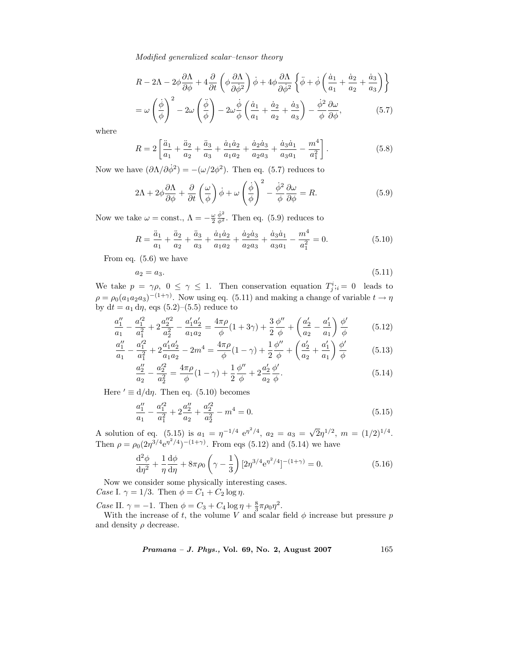*Modified generalized scalar–tensor theory*

$$
R - 2\Lambda - 2\phi \frac{\partial \Lambda}{\partial \phi} + 4 \frac{\partial}{\partial t} \left( \phi \frac{\partial \Lambda}{\partial \dot{\phi}^2} \right) \dot{\phi} + 4\phi \frac{\partial \Lambda}{\partial \dot{\phi}^2} \left\{ \ddot{\phi} + \dot{\phi} \left( \frac{\dot{a}_1}{a_1} + \frac{\dot{a}_2}{a_2} + \frac{\dot{a}_3}{a_3} \right) \right\}
$$
  
=  $\omega \left( \frac{\dot{\phi}}{\phi} \right)^2 - 2\omega \left( \frac{\ddot{\phi}}{\phi} \right) - 2\omega \frac{\dot{\phi}}{\phi} \left( \frac{\dot{a}_1}{a_1} + \frac{\dot{a}_2}{a_2} + \frac{\dot{a}_3}{a_3} \right) - \frac{\dot{\phi}^2}{\phi} \frac{\partial \omega}{\partial \phi},$  (5.7)

where

$$
R = 2\left[\frac{\ddot{a}_1}{a_1} + \frac{\ddot{a}_2}{a_2} + \frac{\ddot{a}_3}{a_3} + \frac{\dot{a}_1\dot{a}_2}{a_1a_2} + \frac{\dot{a}_2\dot{a}_3}{a_2a_3} + \frac{\dot{a}_3\dot{a}_1}{a_3a_1} - \frac{m^4}{a_1^2}\right].
$$
 (5.8)

Now we have  $(\partial \Lambda / \partial \dot{\phi}^2) = -(\omega / 2\phi^2)$ . Then eq. (5.7) reduces to

$$
2\Lambda + 2\phi \frac{\partial \Lambda}{\partial \phi} + \frac{\partial}{\partial t} \left(\frac{\omega}{\phi}\right) \dot{\phi} + \omega \left(\frac{\dot{\phi}}{\phi}\right)^2 - \frac{\dot{\phi}^2}{\phi} \frac{\partial \omega}{\partial \phi} = R.
$$
 (5.9)

Now we take  $\omega = \text{const.}$ ,  $\Lambda = -\frac{\omega}{2} \frac{\dot{\phi}^2}{\phi^2}$ . Then eq. (5.9) reduces to

$$
R = \frac{\ddot{a}_1}{a_1} + \frac{\ddot{a}_2}{a_2} + \frac{\ddot{a}_3}{a_3} + \frac{\dot{a}_1 \dot{a}_2}{a_1 a_2} + \frac{\dot{a}_2 \dot{a}_3}{a_2 a_3} + \frac{\dot{a}_3 \dot{a}_1}{a_3 a_1} - \frac{m^4}{a_1^2} = 0.
$$
 (5.10)

From eq. (5.6) we have

$$
(5.11)
$$

 $a_2 = a_3.$  (5.11) We take  $p = \gamma \rho$ ,  $0 \le \gamma \le 1$ . Then conservation equation  $T_j^i$ ;  $i = 0$  leads to  $\rho = \rho_0 (a_1 a_2 a_3)^{-(1+\gamma)}$ . Now using eq. (5.11) and making a change of variable  $t \to \eta$ <br>by  $dt = a_1 dm$  eqs. (5.2)–(5.5) reduce to by  $dt = a_1 d\eta$ , eqs (5.2)–(5.5) reduce to

$$
\frac{a_1''}{a_1} - \frac{a_1'^2}{a_1^2} + 2\frac{a_2''^2}{a_2^2} - \frac{a_1'a_2'}{a_1a_2} = \frac{4\pi\rho}{\phi}(1+3\gamma) + \frac{3}{2}\frac{\phi''}{\phi} + \left(\frac{a_2'}{a_2} - \frac{a_1'}{a_1}\right)\frac{\phi'}{\phi}
$$
(5.12)

$$
\frac{a_1''}{a_1} - \frac{a_1'^2}{a_1^2} + 2\frac{a_1'a_2'}{a_1a_2} - 2m^4 = \frac{4\pi\rho}{\phi}(1-\gamma) + \frac{1}{2}\frac{\phi''}{\phi} + \left(\frac{a_2'}{a_2} + \frac{a_1'}{a_1}\right)\frac{\phi'}{\phi}
$$
(5.13)

$$
\frac{a_2''}{a_2} - \frac{a_2'^2}{a_2^2} = \frac{4\pi\rho}{\phi}(1-\gamma) + \frac{1}{2}\frac{\phi''}{\phi} + 2\frac{a_2'}{a_2}\frac{\phi'}{\phi}.
$$
\n(5.14)

Here  $' \equiv d/d\eta$ . Then eq. (5.10) becomes

$$
\frac{a_1''}{a_1} - \frac{a_1'^2}{a_1^2} + 2\frac{a_2''}{a_2} + \frac{a_2'^2}{a_2^2} - m^4 = 0.
$$
\n(5.15)

A solution of eq. (5.15) is  $a_1 = \eta^{-1/4} e^{\eta^2/4}$ ,  $a_2 = a_3 = \sqrt{2}\eta^{1/2}$ ,  $m = (1/2)^{1/4}$ .<br>Then  $e^{-\eta^2/4}e^{\eta^2/4}(-1+\gamma)}$  From  $\cos(5.13)$  and  $(5.14)$  we have Then  $\rho = \rho_0 (2\eta^{3/4} e^{\eta^2/4})^{-(1+\gamma)}$ . From eqs (5.12) and (5.14) we have

$$
\frac{d^2\phi}{d\eta^2} + \frac{1}{\eta}\frac{d\phi}{d\eta} + 8\pi\rho_0\left(\gamma - \frac{1}{3}\right)[2\eta^{3/4}e^{\eta^2/4}]^{-(1+\gamma)} = 0.
$$
\n(5.16)

Now we consider some physically interesting cases. *Case* I.  $\gamma = 1/3$ . Then  $\phi = C_1 + C_2 \log \eta$ .

*Case* II.  $\gamma = -1$ . Then  $\phi = C_3 + C_4 \log \eta + \frac{8}{3} \pi \rho_0 \eta^2$ .<br>With the increase of t the volume *V* and scalar.

With the increase of t, the volume V and scalar field  $\phi$  increase but pressure p and density  $\rho$  decrease.

*Pramana – J. Phys.,* **Vol. 69, No. 2, August 2007** 165